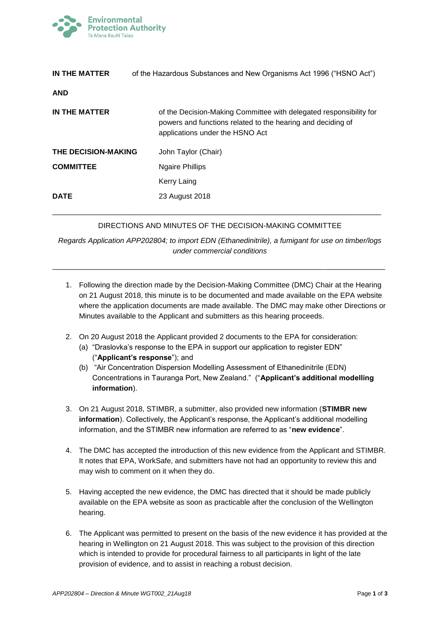

| IN THE MATTER       | of the Hazardous Substances and New Organisms Act 1996 ("HSNO Act")                                                                                                  |
|---------------------|----------------------------------------------------------------------------------------------------------------------------------------------------------------------|
| <b>AND</b>          |                                                                                                                                                                      |
| IN THE MATTER       | of the Decision-Making Committee with delegated responsibility for<br>powers and functions related to the hearing and deciding of<br>applications under the HSNO Act |
| THE DECISION-MAKING | John Taylor (Chair)                                                                                                                                                  |
| <b>COMMITTEE</b>    | <b>Ngaire Phillips</b>                                                                                                                                               |
|                     | Kerry Laing                                                                                                                                                          |
| <b>DATE</b>         | 23 August 2018                                                                                                                                                       |

## DIRECTIONS AND MINUTES OF THE DECISION-MAKING COMMITTEE

\_\_\_\_\_\_\_\_\_\_\_\_\_\_\_\_\_\_\_\_\_\_\_\_\_\_\_\_\_\_\_\_\_\_\_\_\_\_\_\_\_\_\_\_\_\_\_\_\_\_\_\_\_\_\_\_\_\_\_\_\_\_\_\_\_\_\_\_\_\_\_\_\_\_\_\_\_\_\_\_

*Regards Application APP202804; to import EDN (Ethanedinitrile), a fumigant for use on timber/logs under commercial conditions*

\_\_\_\_\_\_\_\_\_\_\_\_\_\_\_\_\_\_\_\_\_\_\_\_\_\_\_\_\_\_\_\_\_\_\_\_\_\_\_\_\_\_\_\_\_\_\_\_\_\_\_\_\_\_\_\_\_\_\_\_\_\_\_\_\_\_\_\_\_\_\_\_\_\_\_\_\_\_\_\_\_

- 1. Following the direction made by the Decision-Making Committee (DMC) Chair at the Hearing on 21 August 2018, this minute is to be documented and made available on the EPA website where the application documents are made available. The DMC may make other Directions or Minutes available to the Applicant and submitters as this hearing proceeds.
- 2. On 20 August 2018 the Applicant provided 2 documents to the EPA for consideration:
	- (a) "Draslovka's response to the EPA in support our application to register EDN" ("**Applicant's response**"); and
	- (b) "Air Concentration Dispersion Modelling Assessment of Ethanedinitrile (EDN) Concentrations in Tauranga Port, New Zealand." ("**Applicant's additional modelling information**).
- 3. On 21 August 2018, STIMBR, a submitter, also provided new information (**STIMBR new information**). Collectively, the Applicant's response, the Applicant's additional modelling information, and the STIMBR new information are referred to as "**new evidence**".
- 4. The DMC has accepted the introduction of this new evidence from the Applicant and STIMBR. It notes that EPA, WorkSafe, and submitters have not had an opportunity to review this and may wish to comment on it when they do.
- 5. Having accepted the new evidence, the DMC has directed that it should be made publicly available on the EPA website as soon as practicable after the conclusion of the Wellington hearing.
- 6. The Applicant was permitted to present on the basis of the new evidence it has provided at the hearing in Wellington on 21 August 2018. This was subject to the provision of this direction which is intended to provide for procedural fairness to all participants in light of the late provision of evidence, and to assist in reaching a robust decision.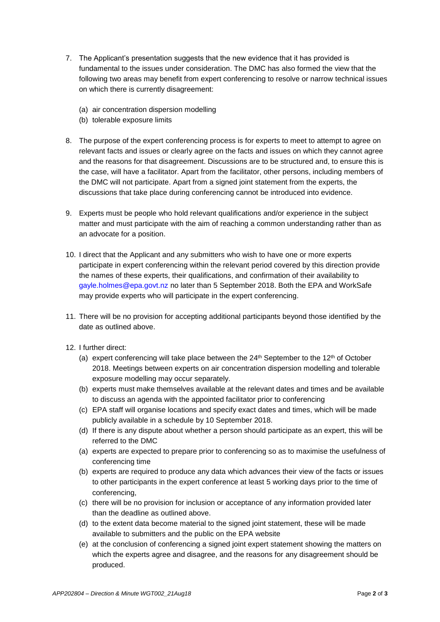- 7. The Applicant's presentation suggests that the new evidence that it has provided is fundamental to the issues under consideration. The DMC has also formed the view that the following two areas may benefit from expert conferencing to resolve or narrow technical issues on which there is currently disagreement:
	- (a) air concentration dispersion modelling
	- (b) tolerable exposure limits
- 8. The purpose of the expert conferencing process is for experts to meet to attempt to agree on relevant facts and issues or clearly agree on the facts and issues on which they cannot agree and the reasons for that disagreement. Discussions are to be structured and, to ensure this is the case, will have a facilitator. Apart from the facilitator, other persons, including members of the DMC will not participate. Apart from a signed joint statement from the experts, the discussions that take place during conferencing cannot be introduced into evidence.
- 9. Experts must be people who hold relevant qualifications and/or experience in the subject matter and must participate with the aim of reaching a common understanding rather than as an advocate for a position.
- 10. I direct that the Applicant and any submitters who wish to have one or more experts participate in expert conferencing within the relevant period covered by this direction provide the names of these experts, their qualifications, and confirmation of their availability to [gayle.holmes@epa.govt.nz](mailto:gayle.holmes@epa.govt.nz) no later than 5 September 2018. Both the EPA and WorkSafe may provide experts who will participate in the expert conferencing.
- 11. There will be no provision for accepting additional participants beyond those identified by the date as outlined above.
- 12. I further direct:
	- (a) expert conferencing will take place between the  $24<sup>th</sup>$  September to the  $12<sup>th</sup>$  of October 2018. Meetings between experts on air concentration dispersion modelling and tolerable exposure modelling may occur separately.
	- (b) experts must make themselves available at the relevant dates and times and be available to discuss an agenda with the appointed facilitator prior to conferencing
	- (c) EPA staff will organise locations and specify exact dates and times, which will be made publicly available in a schedule by 10 September 2018.
	- (d) If there is any dispute about whether a person should participate as an expert, this will be referred to the DMC
	- (a) experts are expected to prepare prior to conferencing so as to maximise the usefulness of conferencing time
	- (b) experts are required to produce any data which advances their view of the facts or issues to other participants in the expert conference at least 5 working days prior to the time of conferencing,
	- (c) there will be no provision for inclusion or acceptance of any information provided later than the deadline as outlined above.
	- (d) to the extent data become material to the signed joint statement, these will be made available to submitters and the public on the EPA website
	- (e) at the conclusion of conferencing a signed joint expert statement showing the matters on which the experts agree and disagree, and the reasons for any disagreement should be produced.